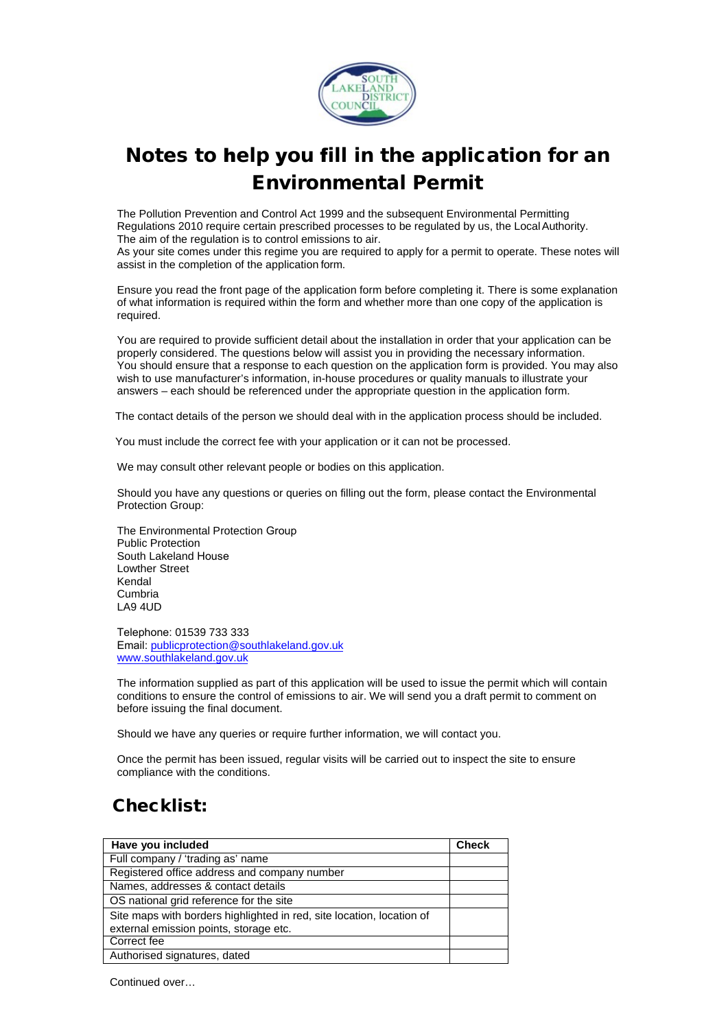

## Notes to help you fill in the application for an Environmental Permit

The Pollution Prevention and Control Act 1999 and the subsequent Environmental Permitting Regulations 2010 require certain prescribed processes to be regulated by us, the LocalAuthority. The aim of the regulation is to control emissions to air.

As your site comes under this regime you are required to apply for a permit to operate. These notes will assist in the completion of the application form.

Ensure you read the front page of the application form before completing it. There is some explanation of what information is required within the form and whether more than one copy of the application is required.

You are required to provide sufficient detail about the installation in order that your application can be properly considered. The questions below will assist you in providing the necessary information. You should ensure that a response to each question on the application form is provided. You may also wish to use manufacturer's information, in-house procedures or quality manuals to illustrate your answers – each should be referenced under the appropriate question in the application form.

The contact details of the person we should deal with in the application process should be included.

You must include the correct fee with your application or it can not be processed.

We may consult other relevant people or bodies on this application.

Should you have any questions or queries on filling out the form, please contact the Environmental Protection Group:

The Environmental Protection Group Public Protection South Lakeland House Lowther Street Kendal Cumbria LA9 4UD

Telephone: 01539 733 333 Email: [publicprotection@southlakeland.gov.uk](mailto:publicprotection@southlakeland.gov.uk) [www.southlakeland.gov.uk](http://www.southlakeland.gov.uk/)

The information supplied as part of this application will be used to issue the permit which will contain conditions to ensure the control of emissions to air. We will send you a draft permit to comment on before issuing the final document.

Should we have any queries or require further information, we will contact you.

Once the permit has been issued, regular visits will be carried out to inspect the site to ensure compliance with the conditions.

## Checklist:

| Have you included                                                     | <b>Check</b> |
|-----------------------------------------------------------------------|--------------|
| Full company / 'trading as' name                                      |              |
| Registered office address and company number                          |              |
| Names, addresses & contact details                                    |              |
| OS national grid reference for the site                               |              |
| Site maps with borders highlighted in red, site location, location of |              |
| external emission points, storage etc.                                |              |
| Correct fee                                                           |              |
| Authorised signatures, dated                                          |              |

Continued over…